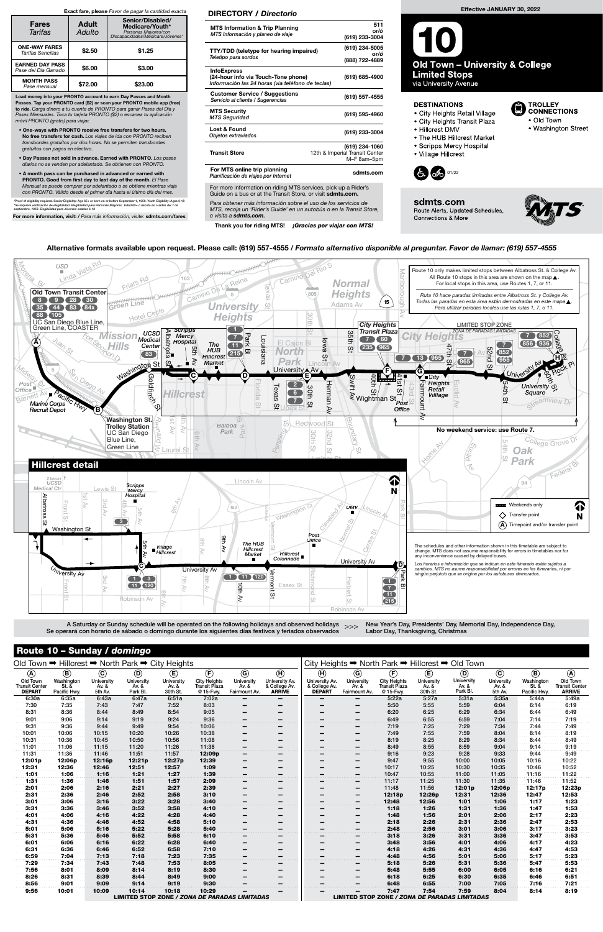| $\sim$                                           |              | <b>Canady / Gommyo</b> |                |             |                                               |                           |                                      |                                      |                                                  |                                                      |                |                |            |              |                       |  |  |
|--------------------------------------------------|--------------|------------------------|----------------|-------------|-----------------------------------------------|---------------------------|--------------------------------------|--------------------------------------|--------------------------------------------------|------------------------------------------------------|----------------|----------------|------------|--------------|-----------------------|--|--|
| Old Town → Hillcrest → North Park → City Heights |              |                        |                |             |                                               |                           |                                      |                                      | City Heights → North Park → Hillcrest → Old Town |                                                      |                |                |            |              |                       |  |  |
| $\circledA$                                      | $\circledR$  | $\odot$                | $^{\circledR}$ | $\circlede$ | $\bigoplus$                                   | $\circledcirc$            | $\left( \widehat{\mathbf{H}}\right)$ | $\left( \widehat{\mathsf{H}}\right)$ | $\circledcirc$                                   | $\bigoplus$                                          | $^{\circledR}$ | $^{\circledR}$ | $\odot$    | $\circledR$  | $\circledast$         |  |  |
| Old Town                                         | Washington   | University             | University     | University  | <b>City Heights</b>                           | University                | University Av.                       | University Av.                       | University                                       | <b>City Heights</b>                                  | University     | University     | University | Washington   | Old Town              |  |  |
| <b>Transit Center</b>                            | St. &        | Av. &                  | Av. &          | Av. &       | <b>Transit Plaza</b>                          | Av. &                     | & College Av.                        | & College Av.                        | Av. &                                            | <b>Transit Plaza</b>                                 | Av. &          | Av. &          | Av. &      | St. &        | <b>Transit Center</b> |  |  |
| <b>DEPART</b>                                    | Pacific Hwy. | 5th Av.                | Park Bl.       | 30th St.    | @ 15-Fwy.                                     | Fairmount Av.             | <b>ARRIVE</b>                        | <b>DEPART</b>                        | Fairmount Av.                                    | @ 15-Fwy.                                            | 30th St.       | Park Bl.       | 5th Av.    | Pacific Hwy. | <b>ARRIVE</b>         |  |  |
| 6:30a                                            | 6:35a        | 6:43a                  | 6:47a          | 6:51a       | 7:02a                                         |                           | -                                    |                                      |                                                  | 5:22a                                                | 5:27a          | 5:31a          | 5:35a      | 5:44a        | 5:49a                 |  |  |
| 7:30                                             | 7:35         | 7:43                   | 7:47           | 7:52        | 8:03                                          | -                         | -                                    | -                                    |                                                  | 5:50                                                 | 5:55           | 5:59           | 6:04       | 6:14         | 6:19                  |  |  |
| 8:31                                             | 8:36         | 8:44                   | 8:49           | 8:54        | 9:05                                          |                           | -                                    |                                      |                                                  | 6:20                                                 | 6:25           | 6:29           | 6:34       | 6:44         | 6:49                  |  |  |
| 9:01                                             | 9:06         | 9:14                   | 9:19           | 9:24        | 9:36                                          |                           |                                      |                                      |                                                  | 6:49                                                 | 6:55           | 6:59           | 7:04       | 7:14         | 7:19                  |  |  |
| 9:31                                             | 9:36         | 9:44                   | 9:49           | 9:54        | 10:06                                         |                           |                                      |                                      |                                                  | 7:19                                                 | 7:25           | 7:29           | 7:34       | 7:44         | 7:49                  |  |  |
| 10:01                                            | 10:06        | 10:15                  | 10:20          | 10:26       | 10:38                                         |                           | -                                    |                                      | -                                                | 7:49                                                 | 7:55           | 7:59           | 8:04       | 8:14         | 8:19                  |  |  |
| 10:31                                            | 10:36        | 10:45                  | 10:50          | 10:56       | 11:08                                         | -                         | -                                    | -                                    | -                                                | 8:19                                                 | 8:25           | 8:29           | 8:34       | 8:44         | 8:49                  |  |  |
| 11:01                                            | 11:06        | 11:15                  | 11:20          | 11:26       | 11:38                                         | -<br>$\sim$ $\sim$ $\sim$ | -                                    | -                                    | -                                                | 8:49                                                 | 8:55           | 8:59           | 9:04       | 9:14         | 9:19                  |  |  |
| 11:31                                            | 11:36        | 11:46                  | 11:51          | 11:57       | 12:09p                                        |                           |                                      |                                      |                                                  | 9:16                                                 | 9:23           | 9:28           | 9:33       | 9:44         | 9:49                  |  |  |
| 12:01p                                           | 12:06p       | 12:16p                 | 12:21p         | 12:27p      | 12:39                                         | -                         | -                                    | -                                    | -                                                | 9:47                                                 | 9:55           | 10:00          | 10:05      | 10:16        | 10:22                 |  |  |
| 12:31                                            | 12:36        | 12:46                  | 12:51          | 12:57       | 1:09                                          | -                         | -                                    | -                                    | -                                                | 10:17                                                | 10:25          | 10:30          | 10:35      | 10:46        | 10:52                 |  |  |
| 1:01                                             | 1:06         | 1:16                   | 1:21           | 1:27        | 1:39                                          | -                         |                                      |                                      |                                                  | 10:47                                                | 10:55          | 11:00          | 11:05      | 11:16        | 11:22                 |  |  |
| 1:31                                             | 1:36         | 1:46                   | 1:51           | 1:57        | 2:09                                          |                           |                                      |                                      |                                                  | 11:17                                                | 11:25          | 11:30          | 11:35      | 11:46        | 11:52                 |  |  |
| 2:01                                             | 2:06         | 2:16                   | 2:21           | 2:27        | 2:39                                          |                           | -                                    |                                      | -                                                | 11:48                                                | 11:56          | 12:01p         | 12:06p     | 12:17p       | 12:23p                |  |  |
| 2:31                                             | 2:36         | 2:46                   | 2:52           | 2:58        | 3:10                                          |                           |                                      |                                      |                                                  | 12:18p                                               | 12:26p         | 12:31          | 12:36      | 12:47        | 12:53                 |  |  |
| 3:01                                             | 3:06         | 3:16                   | 3:22           | 3:28        | 3:40                                          |                           |                                      |                                      |                                                  | 12:48                                                | 12:56          | 1:01           | 1:06       | 1:17         | 1:23                  |  |  |
| 3:31                                             | 3:36         | 3:46                   | 3:52           | 3:58        | 4:10                                          |                           |                                      |                                      |                                                  | 1:18                                                 | 1:26           | 1:31           | 1:36       | 1:47         | 1:53                  |  |  |
| 4:01                                             | 4:06         | 4:16                   | 4:22           | 4:28        | 4:40                                          |                           | -                                    |                                      |                                                  | 1:48                                                 | 1:56           | 2:01           | 2:06       | 2:17         | 2:23                  |  |  |
| 4:31                                             | 4:36         | 4:46                   | 4:52           | 4:58        | 5:10                                          |                           |                                      |                                      |                                                  | 2:18                                                 | 2:26           | 2:31           | 2:36       | 2:47         | 2:53                  |  |  |
| 5:01                                             | 5:06         | 5:16                   | 5:22           | 5:28        | 5:40                                          |                           |                                      |                                      |                                                  | 2:48                                                 | 2:56           | 3:01           | 3:06       | 3:17         | 3:23                  |  |  |
| 5:31                                             | 5:36         | 5:46                   | 5:52           | 5:58        | 6:10                                          | -                         | -                                    |                                      | -                                                | 3:18                                                 | 3:26           | 3:31           | 3:36       | 3:47         | 3:53                  |  |  |
| 6:01                                             | 6:06         | 6:16                   | 6:22           | 6:28        | 6:40                                          | -                         | -                                    | -                                    | -                                                | 3:48                                                 | 3:56           | 4:01           | 4:06       | 4:17         | 4:23                  |  |  |
| 6:31                                             | 6:36         | 6:46                   | 6:52           | 6:58        | 7:10                                          | -                         | -                                    |                                      | -                                                | 4:18                                                 | 4:26           | 4:31           | 4:36       | 4:47         | 4:53                  |  |  |
| 6:59                                             | 7:04         | 7:13                   | 7:18           | 7:23        | 7:35                                          |                           |                                      |                                      |                                                  | 4:48                                                 | 4:56           | 5:01           | 5:06       | 5:17         | 5:23                  |  |  |
| 7:29                                             | 7:34         | 7:43                   | 7:48           | 7:53        | 8:05                                          | -                         | -                                    | -                                    | -                                                | 5:18                                                 | 5:26           | 5:31           | 5:36       | 5:47         | 5:53                  |  |  |
| 7:56                                             | 8:01         | 8:09                   | 8:14           | 8:19        | 8:30                                          |                           |                                      |                                      |                                                  | 5:48                                                 | 5:55           | 6:00           | 6:05       | 6:16         |                       |  |  |
|                                                  |              |                        |                |             |                                               | -                         | $\qquad \qquad \blacksquare$         | -                                    | $\overline{\phantom{0}}$                         |                                                      |                |                |            |              | 6:21                  |  |  |
| 8:26                                             | 8:31         | 8:39                   | 8:44           | 8:49        | 9:00                                          |                           | -                                    | -                                    |                                                  | 6:18                                                 | 6:25           | 6:30           | 6:35       | 6:46         | 6:51                  |  |  |
| 8:56                                             | 9:01         | 9:09                   | 9:14           | 9:19        | 9:30                                          |                           |                                      |                                      |                                                  | 6:48                                                 | 6:55           | 7:00           | 7:05       | 7:16         | 7:21                  |  |  |
| 9:56                                             | 10:01        | 10:09                  | 10:14          | 10:18       | 10:29                                         |                           |                                      |                                      |                                                  | 7:47                                                 | 7:54           | 7:59           | 8:04       | 8:14         | 8:19                  |  |  |
|                                                  |              |                        |                |             | LIMITED STOP ZONE / ZONA DE PARADAS LIMITADAS |                           |                                      |                                      |                                                  | <b>LIMITED STOP ZONE / ZONA DE PARADAS LIMITADAS</b> |                |                |            |              |                       |  |  |

### Route 10 – Sunday / domingo

Se operará con horario de sábado o domingo durante los siguientes días festivos y feriados observados

New Year's Day, Presidents' Day, Memorial Day, Independence Day, Labor Day, Thanksgiving, Christmas



# Effective JANUARY 30, 2022

**Old Town - University & College Limited Stops** 

via University Avenue

#### **DESTINATIONS**

- · City Heights Retail Village
- City Heights Transit Plaza
- Hillcrest DMV
- The HUB Hillcrest Market
- Scripps Mercy Hospital
- · Village Hillcrest

**Connections & More** 



sdmts.com Route Alerts, Updated Schedules,



TROLLEY<br>CONNECTIONS

• Washington Street

· Old Town

#### Alternative formats available upon request. Please call: (619) 557-4555 / Formato alternativo disponible al preguntar. Favor de llamar: (619) 557-4555

Para obtener más información sobre el uso de los servicios de MTS, recoja un 'Rider's Guide' en un autobús o en la Transit Store, o visita a sdmts.com.

Thank you for riding MTS! ¡Gracias por viajar con MTS!

#### DIRECTORY / Directorio

| <b>MTS Information &amp; Trip Planning</b><br>MTS Información y planeo de viaje                                | 511<br>or/ó<br>(619) 233-3004                                   |
|----------------------------------------------------------------------------------------------------------------|-----------------------------------------------------------------|
| TTY/TDD (teletype for hearing impaired)<br>Teletipo para sordos                                                | (619) 234-5005<br>or/ó<br>(888) 722-4889                        |
| <b>InfoExpress</b><br>(24-hour info via Touch-Tone phone)<br>Información las 24 horas (via teléfono de teclas) | (619) 685-4900                                                  |
| <b>Customer Service / Suggestions</b><br>Servicio al cliente / Sugerencias                                     | (619) 557-4555                                                  |
| <b>MTS Security</b><br><b>MTS Seguridad</b>                                                                    | (619) 595-4960                                                  |
| Lost & Found<br>Objetos extraviados                                                                            | (619) 233-3004                                                  |
| <b>Transit Store</b>                                                                                           | (619) 234-1060<br>12th & Imperial Transit Center<br>M-F 8am-5pm |
| For MTS online trip planning<br>Planificación de viajes por Internet                                           | sdmts.com                                                       |
| For more information on riding MTS services, pick up a Rider's                                                 |                                                                 |

Guide on a bus or at the Transit Store, or visit sdmts.com.

Load money into your PRONTO account to earn Day Passes and Month Passes. Tap your PRONTO card (\$2) or scan your PRONTO mobile app (free) to ride. Carga dinero a tu cuenta de PRONTO para ganar Pases del Día y Pases Mensuales. Toca tu tarjeta PRONTO (\$2) o escanea tu aplicación móvil PRONTO (gratis) para viajar.

- One-ways with PRONTO receive free transfers for two hours. No free transfers for cash. Los viajes de ida con PRONTO reciben transbordes gratuitos por dos horas. No se permiten transbordes gratuitos con pagos en efectivo.
- Day Passes not sold in advance. Earned with PRONTO. Los pases diarios no se venden por adelantado. Se obtienen con PRONTO.
- A month pass can be purchased in advanced or earned with PRONTO. Good from first day to last day of the month. El Pase Mensual se puede comprar por adelantado o se obtiene mientras viaja con PRONTO. Válido desde el primer día hasta el último día del mes.

\*Proof of eligibility required. Senior Eligibility: Age 65+ or born on or before September 1, 1959. Youth Eligibility: Ages 6-18<br>\*Se requiere verificación de elegibilidad. Elegibilidad para Personas Mayores: Edad 65+ o nac

For more information, visit: / Para más información, visite: sdmts.com/fares

#### Exact fare, please Favor de pagar la cantidad exacta

| <b>Fares</b><br>Tarifas                       | <b>Adult</b><br>Adulto | Senior/Disabled/<br>Medicare/Youth*<br>Personas Mayores/con<br>Discapacidades/Medicare/Jóvenes*<br>\$1.25<br>\$3.00 |  |  |  |  |
|-----------------------------------------------|------------------------|---------------------------------------------------------------------------------------------------------------------|--|--|--|--|
| <b>ONE-WAY FARES</b><br>Tarifas Sencillas     | \$2.50                 |                                                                                                                     |  |  |  |  |
| <b>EARNED DAY PASS</b><br>Pase del Día Ganado | \$6.00                 |                                                                                                                     |  |  |  |  |
| <b>MONTH PASS</b><br>Pase mensual             | \$72.00                | \$23.00                                                                                                             |  |  |  |  |